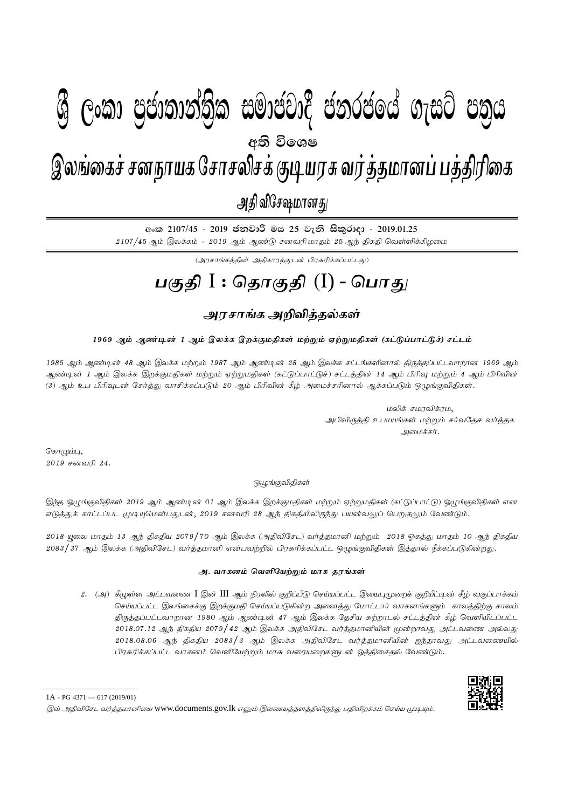# I **fldgi ( ^**I**& fPoh - Y S % ,xld m %cd;dk a; s %l iudcjd§ ckrcfh a w; s úfYI .eiÜ m; %h - 2019'01'25**  $g_{\text{max}}$  papamandologi pamandologi phag dahar dan  $\alpha$  - na $\beta$  - 2019. இலங்கைச் சனநாயக சோசலிசக் குடியரசு வர்த்தமானப் பத்திரிகை அதி விசேஷமானது  $\mathcal{B}$  George Constanting)ක සමාප්තාර ප්නාර්ථිකය ගැසර ප්නිෆ අති වි**ං**ශෂ

<u>අංක 2107/45 - 2019 ජනවාරි මස 25 වැනි සිකුරාදා - 2019.01.25</u>  $2107/45$  ஆம் இலக்கம் -  $2019$  ஆம் ஆண்டு சனவரிமாதம்  $25$  ஆந் திகதி வெள்ளிக்கிழமை

(அரசாங்கக்கின் அகிகாரக்குடன் பிரசுரிக்கப்பட்டது)

# **gFjp** I : **njhFjp** (I) - **nghJ**

### <u>அரசாங்க அறிவிக்கல்கள்</u>

#### 1969 ஆம் ஆண்டின் 1 ஆம் இலக்க இறக்குமதிகள் மற்றும் ஏற்றுமதிகள் (கட்டுப்பாட்டுச்) சட்டம்

1985 ஆம் ஆண்டின் 48 ஆம் இலக்க மற்றும் 1987 ஆம் ஆண்டின் 28 ஆம் இலக்க சட்டங்களினால் திருத்தப்பட்டவாறான 1969 ஆம் ஆண்டின் 1 ஆம் இலக்க இறக்குமதிகள் மற்றும் ஏற்றுமதிகள் (கட்டுப்பாட்டுச்) சட்டத்தின் 14 ஆம் பிரிவு மற்றும் 4 ஆம் பிரிவின் (3) ஆம் உப பிரிவுடன் சேர்த்து வாசிக்கப்படும் 20 ஆம் பிரிவின் கீழ் அமைச்சரினால் ஆக்கப்படும் ஒழுங்குவிதிகள்.

> மலிக் சமரவிக்ரம, அபிவிருத்தி உபாயங்கள் மற்றும் சர்வதேச வர்த்தக அமைச்சர்.

கொழும்பு,  $2019$  சனவரி  $24.$ 

ஒமுங்குவிதிகள்

இந்த ஒழுங்குவிதிகள் 2019 ஆம் ஆண்டின் 01 ஆம் இலக்க இறக்குமதிகள் மற்றும் ஏற்றுமதிகள் (கட்டுப்பாட்டு) ஒழுங்குவிதிகள் என எடுத்துக் காட்டப்பட முடியுமென்பதுடன், 2019 சனவரி 28 ஆந் திகதியிலிருந்து பயன்வலுப் பெறுதலும் வேண்டும்.

2018 யூலை மாதம் 13 ஆந் திகதிய 2079/70 ஆம் இலக்க (அதிவிசேட) வர்த்தமானி மற்றும் 2018 ஓகத்து மாதம் 10 ஆந் திகதிய 2083/37 ஆம் இலக்க (அதிவிசேட) வர்த்தமானி என்பவற்றில் பிரசுரிக்கப்பட்ட ஒழுங்குவிதிகள் இத்தால் நீக்கப்படுகின்றது.

#### **m. thfdk ntspNaw ; Wk ; khR juq ; fs; ;**

2. (அ) கீழுள்ள அட்டவணை I இன் III ஆம் நிரலில் குறிப்பீடு செய்யப்பட்ட இயைபுமுறைக் குறியீட்டின் கீழ் வகுப்பாக்கம் செய்யப்பட்ட இலங்கைக்கு இறக்குமதி செய்யப்படுகின்ற அனைத்து மோட்டார் வாகனங்களும் காலத்திற்கு காலம் திருத்தப்பட்டவாறான 1980 ஆம் ஆண்டின் 47 ஆம் இலக்க தேசிய சுற்றாடல் சட்டத்தின் கீழ் வெளியிடப்பட்ட  $2018.07.12$  ஆந் திகதிய  $2079 \big/ 42$  ஆம் இலக்க அதிவிசேட வர்த்தமானியின் மூன்றாவது அட்டவணை அல்லது  $2018.08.06$  ஆந் திகதிய  $2083\big/3$  ஆம் இலக்க அதிவிசேட வர்த்தமானியின் ஐந்தாவது அட்டவணையில் பிரசுரிக்கப்பட்ட வாகனம் வெளியேற்றும் மாசு வரையறைகளுடன் ஒத்திசைதல் வேண்டும்.



<sup>1</sup>A - PG 4371 — 617 (2019/01)

இவ் அதிவிசேட வர்த்தமானியை www.documents.gov.lk எனும் இணையத்தளத்திலிருந்து பதிவிறக்கம் செய்ய முடியும்.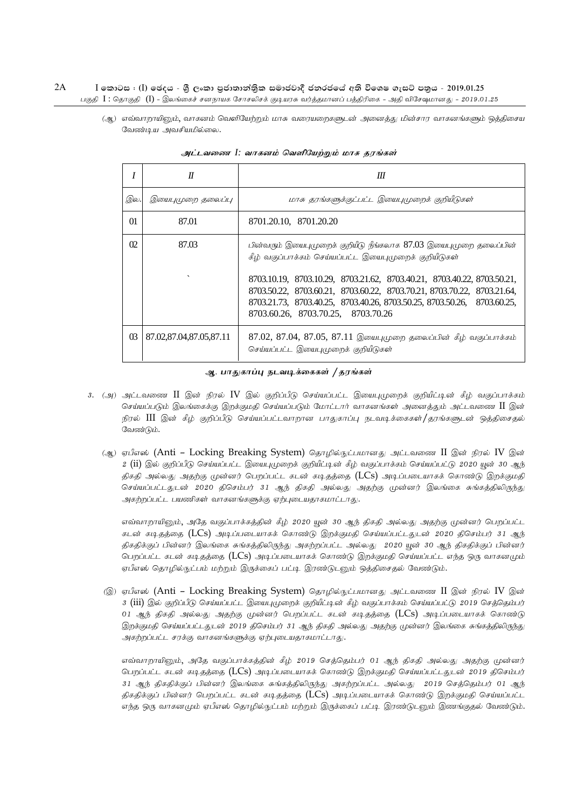(ஆ) எவ்வாறாயினும், வாகனம் வெளியேற்றும் மாசு வரையறைகளுடன் அனைத்து மின்சார வாகனங்களும் ஒத்திசைய வேண்டிய அவசியமில்லை.

|                 | $\boldsymbol{\eta}$               | Ш                                                                                                                                                                                                                                                                                                                                                                                                   |  |  |  |
|-----------------|-----------------------------------|-----------------------------------------------------------------------------------------------------------------------------------------------------------------------------------------------------------------------------------------------------------------------------------------------------------------------------------------------------------------------------------------------------|--|--|--|
| இல.             | இயைபுமுறை தலைப்பு                 | மாசு தரங்களுக்குட்பட்ட இயைபுமுறைக் குறியீடுகள்                                                                                                                                                                                                                                                                                                                                                      |  |  |  |
| $\Omega$        | 87.01                             | 8701.20.10, 8701.20.20                                                                                                                                                                                                                                                                                                                                                                              |  |  |  |
| O <sub>2</sub>  | 87.03<br>$\overline{\phantom{0}}$ | பின்வரும் இயைபுமுறைக் குறியீடு நீங்கலாக $87.03$ இயைபுமுறை தலைப்பின்<br>கீழ் வகுப்பாக்கம் செய்யப்பட்ட இயைபுமுறைக் குறியீடுகள்<br>8703.10.19, 8703.10.29, 8703.21.62, 8703.40.21, 8703.40.22, 8703.50.21,<br>8703.50.22, 8703.60.21, 8703.60.22, 8703.70.21, 8703.70.22, 8703.21.64,<br>8703.21.73, 8703.40.25, 8703.40.26, 8703.50.25, 8703.50.26, 8703.60.25,<br>8703.60.26, 8703.70.25, 8703.70.26 |  |  |  |
| $\overline{03}$ | 87.02,87.04,87.05,87.11           | 87.02, 87.04, 87.05, 87.11 இயைபுமுறை தலைப்பின் கீழ் வகுப்பாக்கம்<br>செய்யப்பட்ட இயைபுமுறைக் குறியீடுகள்                                                                                                                                                                                                                                                                                             |  |  |  |

அட்டவணை I: வாகனம் வெளியேற்றும் மாசு தரங்கள்

#### ஆ. பாதுகாப்பு நடவடிக்கைகள் */* தரங்கள்

- 3. (அ) அட்டவணை II இன் நிரல் IV இல் குறிப்பீடு செய்யப்பட்ட இயைபுமுறைக் குறியீட்டின் கீழ் வகுப்பாக்கம் செய்யப்படும் இலங்கைக்கு இறக்குமதி செய்யப்படும் மோட்டார் வாகனங்கள் அனைத்தும் அட்டவணை  $\rm{II}$  இன் நிரல் III இன் கீழ் குறிப்பீடு செய்யப்பட்டவாறான பாதுகாப்பு நடவடிக்கைகள்/தரங்களுடன் ஒத்திசைதல் வேண்டும்.
	- (ஆ) ஏபீஎஸ் (Anti Locking Breaking System) தொழில்நுட்பமானது அட்டவணை II இன் நிரல் IV இன்  $2$   $(\rm ii)$  இல் குறிப்பீடு செய்யப்பட்ட இயைபுமுறைக் குறியீட்டின் கீழ் வகுப்பாக்கம் செய்யப்பட்டு 2020 யுன் 30 ஆந் திகதி அல்லது அதற்கு முன்னர் பெறப்பட்ட கடன் கடிதத்தை  $(\text{LCs})$  அடிப்படையாகக் கொண்டு இறக்குமதி செய்யப்பட்டதுடன் 2020 திசெம்பர் 31 ஆந் திகதி அல்லது அதற்கு முன்னர் இலங்கை சுங்கத்திலிருந்து அகற்றப்பட்ட பயணிகள் வாகனங்களுக்கு ஏற்புடையதாகமாட்டாது.

எவ்வாறாயினும், அதே வகுப்பாக்கத்தின் கீழ் 2020 யுன் 30 ஆந் திகதி அல்லது அதற்கு முன்னர் பெறப்பட்ட கடன் கடிகத்தை (LCs) அடிப்படையாகக் கொண்டு இறக்குமதி செய்யப்பட்டதுடன் 2020 திசெம்பர் 31 ஆந் திகதிக்குப் பின்னர் இலங்கை சுங்கத்திலிருந்து அகற்றப்பட்ட அல்லது 2020 யூன் 30 ஆந் திகதிக்குப் பின்னர் பெறப்பட்ட கடன் கடிதத்தை (LCs) அடிப்படையாகக் கொண்டு இறக்குமதி செய்யப்பட்ட எந்த ஒரு வாகனமும் ஏபீஎஸ் தொழில்நுட்பம் மற்றும் இருக்கைப் பட்டி இரண்டுடனும் ஒத்திசைதல் வேண்டும்.

(இ) ஏபீஎஸ் (Anti – Locking Breaking System) தொழில்நுட்பமானது அட்டவணை II இன் நிரல் IV இன் 3 (iii) இல் குறிப்பீடு செய்யப்பட்ட இயைபுமுறைக் குறியீட்டின் கீழ் வகுப்பாக்கம் செய்யப்பட்டு 2019 செத்தெம்பர் 01 ஆந் திகதி அல்லது அதற்கு முன்னர் பெறப்பட்ட கடன் கடிதத்தை  $(LCs)$  அடிப்படையாகக் கொண்டு இறக்குமதி செய்யப்பட்டதுடன் 2019 திசெம்பர் 31 ஆந் திகதி அல்லது அதற்கு முன்னர் இலங்கை சுங்கத்திலிருந்து அகற்றப்பட்ட சரக்கு வாகனங்களுக்கு ஏற்புடையதாகமாட்டாது.

எவ்வாறாயினும், அதே வகுப்பாக்கத்தின் கீழ் 2019 செத்தெம்பர் 01 ஆந் திகதி அல்லது அதற்கு முன்னர் பெறப்பட்ட கடன் கடி.தத்தை (LCs) அடி.ப்படையாகக் கொண்டு இறக்குமதி செய்யப்பட்டதுடன் 2019 திசெம்பர் 31 ஆந் திகதிக்குப் பின்னர் இலங்கை சுங்கத்திலிருந்து அகற்றப்பட்ட அல்லது 2019 செக்கெம்பர் 01 ஆந் திகதிக்குப் பின்னர் பெறப்பட்ட கடன் கடிகத்தை ( $\overline{\text{LCS}}$ ) அடிப்படையாகக் கொண்டு இறக்குமதி செய்யப்பட்ட எந்த ஒரு வாகனமும் ஏபீஎஸ் தொழில்நுட்பம் மற்றும் இருக்கைப் பட்டி இரண்டுடனும் இணங்குதல் வேண்டும்.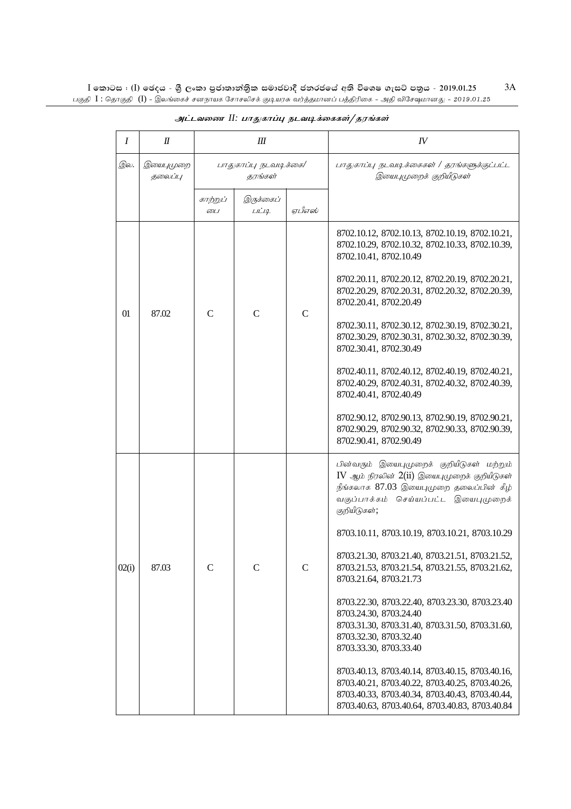| Ι     | П                   | Ш                                       |                    |              | $I\!V$                                                                                                                                                                                                                                                                                                                                                                                                                                                                                                                                                                          |
|-------|---------------------|-----------------------------------------|--------------------|--------------|---------------------------------------------------------------------------------------------------------------------------------------------------------------------------------------------------------------------------------------------------------------------------------------------------------------------------------------------------------------------------------------------------------------------------------------------------------------------------------------------------------------------------------------------------------------------------------|
| இல.   | இயைபமுறை<br>தலைப்பு | பாதுகாப்பு நடவடிக்கை/<br><i>கரங்கள்</i> |                    |              | பாதுகாப்பு நடவடிக்கைகள் / தரங்களுக்குட்பட்ட<br>இயைபுமுறைக் குறியீடுகள்                                                                                                                                                                                                                                                                                                                                                                                                                                                                                                          |
|       |                     | கா <u>ற்று</u> ப்<br><i>டை</i>          | இருக்கைப்<br>LILIQ | ஏபீஎஸ்       |                                                                                                                                                                                                                                                                                                                                                                                                                                                                                                                                                                                 |
| 01    | 87.02               | $\mathsf{C}$                            | $\mathsf{C}$       | $\mathsf{C}$ | 8702.10.12, 8702.10.13, 8702.10.19, 8702.10.21,<br>8702.10.29, 8702.10.32, 8702.10.33, 8702.10.39,<br>8702.10.41, 8702.10.49<br>8702.20.11, 8702.20.12, 8702.20.19, 8702.20.21,<br>8702.20.29, 8702.20.31, 8702.20.32, 8702.20.39,<br>8702.20.41, 8702.20.49<br>8702.30.11, 8702.30.12, 8702.30.19, 8702.30.21,<br>8702.30.29, 8702.30.31, 8702.30.32, 8702.30.39,<br>8702.30.41, 8702.30.49<br>8702.40.11, 8702.40.12, 8702.40.19, 8702.40.21,<br>8702.40.29, 8702.40.31, 8702.40.32, 8702.40.39,<br>8702.40.41, 8702.40.49<br>8702.90.12, 8702.90.13, 8702.90.19, 8702.90.21, |
|       |                     |                                         |                    |              | 8702.90.29, 8702.90.32, 8702.90.33, 8702.90.39,<br>8702.90.41, 8702.90.49                                                                                                                                                                                                                                                                                                                                                                                                                                                                                                       |
| 02(i) | 87.03               | $\mathsf{C}$                            | $\mathsf{C}$       | $\mathsf{C}$ | பின்வரும் இயைபுமுறைக் குறியீடுகள் மற்றும்<br>$IV$ ஆம் நிரலின் $2(ii)$ இயைபுமுறைக் குறியீடுகள்<br>நீங்கலாக 87.03 இயைபுமுறை தலைப்பின் கீழ்<br>வகுப்பாக்கம் செய்யப்பட்ட இயைபுமுறைக்<br>குறியீடுகள்;<br>8703.10.11, 8703.10.19, 8703.10.21, 8703.10.29<br>8703.21.30, 8703.21.40, 8703.21.51, 8703.21.52,<br>8703.21.53, 8703.21.54, 8703.21.55, 8703.21.62,<br>8703.21.64, 8703.21.73<br>8703.22.30, 8703.22.40, 8703.23.30, 8703.23.40<br>8703.24.30, 8703.24.40<br>8703.31.30, 8703.31.40, 8703.31.50, 8703.31.60,<br>8703.32.30, 8703.32.40<br>8703.33.30, 8703.33.40           |
|       |                     |                                         |                    |              | 8703.40.13, 8703.40.14, 8703.40.15, 8703.40.16,<br>8703.40.21, 8703.40.22, 8703.40.25, 8703.40.26,<br>8703.40.33, 8703.40.34, 8703.40.43, 8703.40.44,<br>8703.40.63, 8703.40.64, 8703.40.83, 8703.40.84                                                                                                                                                                                                                                                                                                                                                                         |

### அட்டவணை II: பாதுகாப்பு நடவடிக்கைகள்/தரங்கள்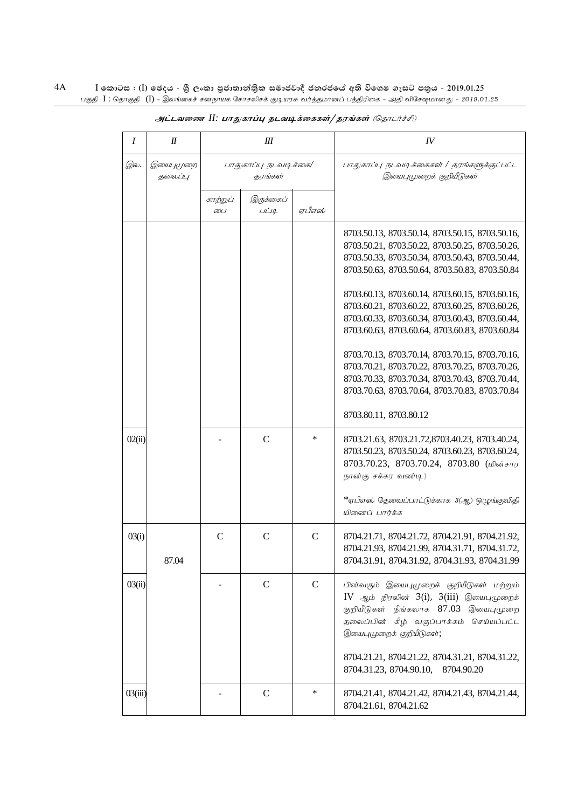| Ι       | $I\!I$               | Ш                                |                    |              | $I\!V$                                                                                                                                                                                                                                                                                                                                                                                                                                                                                                                                                                                                                                                  |
|---------|----------------------|----------------------------------|--------------------|--------------|---------------------------------------------------------------------------------------------------------------------------------------------------------------------------------------------------------------------------------------------------------------------------------------------------------------------------------------------------------------------------------------------------------------------------------------------------------------------------------------------------------------------------------------------------------------------------------------------------------------------------------------------------------|
| இல.     | இயைபுமுறை<br>தலைப்பு | பாதுகாப்பு நடவடிக்கை/<br>கரங்கள் |                    |              | பாதுகாப்பு நடவடிக்கைகள் / தரங்களுக்குட்பட்ட<br>இயைபுமுறைக் குறியீடுகள்                                                                                                                                                                                                                                                                                                                                                                                                                                                                                                                                                                                  |
|         |                      | காற்றுப்<br>டை                   | இருக்கைப்<br>LILIQ | ஏபீஎஸ்       |                                                                                                                                                                                                                                                                                                                                                                                                                                                                                                                                                                                                                                                         |
|         |                      |                                  |                    |              | 8703.50.13, 8703.50.14, 8703.50.15, 8703.50.16,<br>8703.50.21, 8703.50.22, 8703.50.25, 8703.50.26,<br>8703.50.33, 8703.50.34, 8703.50.43, 8703.50.44,<br>8703.50.63, 8703.50.64, 8703.50.83, 8703.50.84<br>8703.60.13, 8703.60.14, 8703.60.15, 8703.60.16,<br>8703.60.21, 8703.60.22, 8703.60.25, 8703.60.26,<br>8703.60.33, 8703.60.34, 8703.60.43, 8703.60.44,<br>8703.60.63, 8703.60.64, 8703.60.83, 8703.60.84<br>8703.70.13, 8703.70.14, 8703.70.15, 8703.70.16,<br>8703.70.21, 8703.70.22, 8703.70.25, 8703.70.26,<br>8703.70.33, 8703.70.34, 8703.70.43, 8703.70.44,<br>8703.70.63, 8703.70.64, 8703.70.83, 8703.70.84<br>8703.80.11, 8703.80.12 |
| 02(ii)  |                      |                                  | $\mathcal{C}$      | *            | 8703.21.63, 8703.21.72,8703.40.23, 8703.40.24,<br>8703.50.23, 8703.50.24, 8703.60.23, 8703.60.24,<br>8703.70.23, 8703.70.24, 8703.80 (மின்சார<br>நான்கு சக்கர வண்டி)<br>*ஏபீஎஸ் தேவைப்பாட்டுக்காக 3(ஆ) ஒழுங்குவிதி<br>யினைப் பார்க்க                                                                                                                                                                                                                                                                                                                                                                                                                    |
| 03(i)   | 87.04                | $\mathcal{C}$                    | $\mathcal{C}$      | $\mathsf{C}$ | 8704.21.71, 8704.21.72, 8704.21.91, 8704.21.92,<br>8704.21.93, 8704.21.99, 8704.31.71, 8704.31.72,<br>8704.31.91, 8704.31.92, 8704.31.93, 8704.31.99                                                                                                                                                                                                                                                                                                                                                                                                                                                                                                    |
| 03(ii)  |                      |                                  | $\mathbf C$        | $\mathbf C$  | பின்வரும் இயைபுமுறைக் குறியீடுகள் மற்றும்<br>$IV$ ஆம் நிரலின் $3(i)$ , $3(iii)$ இயைபுமுறைக்<br>குறியீடுகள் நீங்கலாக 87.03 இயைபுமுறை<br>தலைப்பின் கீழ் வகுப்பாக்கம் செய்யப்பட்ட<br>இயைபுமுறைக் குறியீடுகள்;<br>8704.21.21, 8704.21.22, 8704.31.21, 8704.31.22,<br>8704.31.23, 8704.90.10,<br>8704.90.20                                                                                                                                                                                                                                                                                                                                                  |
| 03(iii) |                      |                                  | $\mathbf C$        | $\ast$       | 8704.21.41, 8704.21.42, 8704.21.43, 8704.21.44,<br>8704.21.61, 8704.21.62                                                                                                                                                                                                                                                                                                                                                                                                                                                                                                                                                                               |

அட்டவணை II: பாதுகாப்பு நடவடிக்கைகள்/தரங்கள் (தொடர்ச்சி)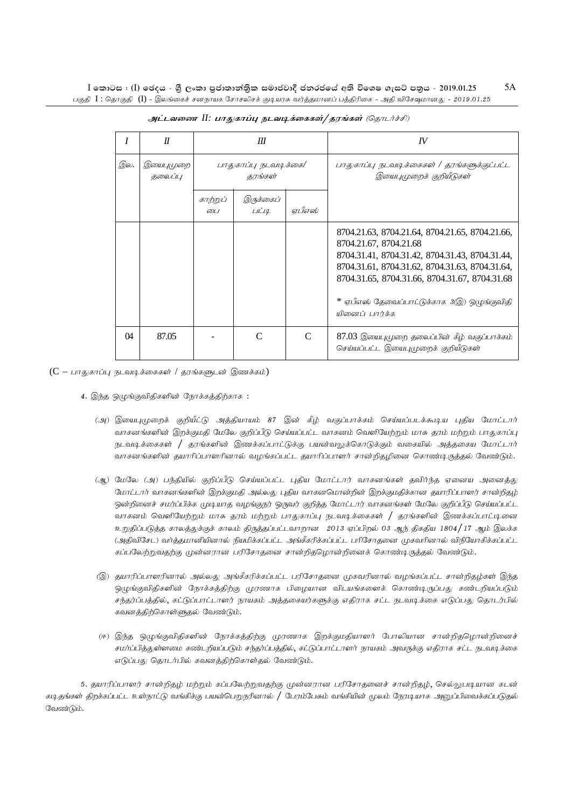|          | $\boldsymbol{\mathit{II}}$ | Ш                |                                  |                             | IV                                                                                                                                                                                                                                                                                                 |
|----------|----------------------------|------------------|----------------------------------|-----------------------------|----------------------------------------------------------------------------------------------------------------------------------------------------------------------------------------------------------------------------------------------------------------------------------------------------|
| இல.      | இயைபுமுறை<br>தலைப்பு       |                  | பாதுகாப்பு நடவடிக்கை/<br>தரங்கள் |                             | பாதுகாப்பு நடவடிக்கைகள் / தரங்களுக்குட்பட்ட<br>இயைபுமுறைக் குறியீடுகள்                                                                                                                                                                                                                             |
|          |                            | காற்றுப்<br>டை 1 | இருக்கைப்<br>LILQ                | ஏபீஎஸ்                      |                                                                                                                                                                                                                                                                                                    |
|          |                            |                  |                                  |                             | 8704.21.63, 8704.21.64, 8704.21.65, 8704.21.66,<br>8704.21.67, 8704.21.68<br>8704.31.41, 8704.31.42, 8704.31.43, 8704.31.44,<br>8704.31.61, 8704.31.62, 8704.31.63, 8704.31.64,<br>8704.31.65, 8704.31.66, 8704.31.67, 8704.31.68<br>* ஏபீஎஸ் தேவைப்பாட்டுக்காக 3(இ) ஒழுங்குவிதி<br>யினைப் பார்க்க |
| $\Omega$ | 87.05                      |                  | $\mathcal{C}_{\mathcal{C}}$      | $\mathcal{C}_{\mathcal{C}}$ | 87.03 இயைபுமுறை தலைப்பின் கீழ் வகுப்பாக்கம்<br>செய்யப்பட்ட இயைபுமுறைக் குறியீடுகள்                                                                                                                                                                                                                 |

அட்டவணை II: பாதுகாப்பு நடவடிக்கைகள்/தரங்கள் (தொடர்ச்சி)

 $(C - \Box$ ாதுகாப்பு நடவடிக்கைகள் / தரங்களுடன் இணக்கம்)

- 4. இந்த ஒழுங்குவிதிகளின் நோக்கத்திற்காக :
	- (அ) இயைபுமுறைக் குறியீட்டு அத்தியாயம் 87 இன் கீழ் வகுப்பாக்கம் செய்யப்படக்கூடிய புதிய மோட்டார் வாகனங்களின் இறக்குமதி மேலே குறிப்பீடு செய்யப்பட்ட வாகனம் வெளியேற்றும் மாசு தரம் மற்றும் பாதுகாப்பு நடவடிக்கைகள் / தரங்களின் இணக்கப்பாட்டுக்கு பயன்வலுக்கொடுக்கும் வகையில் அத்தகைய மோட்டார் வாகனங்களின் தயாரிப்பாளரினால் வழங்கப்பட்ட தயாரிப்பாளர் சான்றிதழினை கொண்டிருத்தல் வேண்டும்.
	- (ஆ) மேலே (அ) பந்தியில் குறிப்பீடு செய்யப்பட்ட புதிய மோட்டார் வாகனங்கள் தவிர்ந்த ஏனைய அனைத்து மோட்டார் வாகனங்களின் இறக்குமதி அல்லது புதிய வாகனமொன்றின் இறக்குமதிக்கான தயாரிப்பாளர் சான்றிதழ் ஒன்றினைச் சமர்ப்பிக்க முடியாத வழங்குநர் ஒருவர் குறித்த மோட்டார் வாகனங்கள் மேலே குறிப்பீடு செய்யப்பட்ட வாகனம் வெளியேற்றும் மாசு தரம் மற்றும் பாதுகாப்பு நடவடிக்கைகள் / தரங்களின் இணக்கப்பாட்டினை உறுதிப்படுத்த காலத்துக்குக் காலம் திருத்தப்பட்டவாறான 2013 ஏப்பிறல் 03 ஆந் திகதிய 1804/17 ஆம் இலக்க (அதிவிசேட) வர்த்தமானியினால் நியமிக்கப்பட்ட அங்கீகரிக்கப்பட்ட பரிசோதனை முகவரினால் விநியோகிக்கப்பட்ட கப்பலேற்றுவதற்கு முன்னரான பரிசோதனை சான்றிதமொன்றினைக் கொண்டிருத்தல் வேண்டும்.
	- (இ) தயாரிப்பாளரினால் அல்லது அங்கீகரிக்கப்பட்ட பரிசோதனை முகவரினால் வழங்கப்பட்ட சான்றிதழ்கள் இந்த ஒழுங்குவிதிகளின் நோக்கத்திற்கு முரணாக பிழையான விடயங்களைக் கொண்டிருப்பது கண்டறியப்படும் சந்தர்ப்பத்தில், கட்டுப்பாட்டாளர் நாயகம் அத்தகையர்களுக்கு எதிராக சட்ட நடவடிக்கை எடுப்பது தொடர்பில் கவனத்திற்கொள்ளுதல் வேண்டும்.
	- (ஈ) இந்த ஒழுங்குவிதிகளின் நோக்கத்திற்கு முரணாக இறக்குமதியாளர் போலியான சான்றிதழொன்றினைச் சமாப்பித்துள்ளமை கண்டறியப்படும் சந்தாப்பத்தில், கட்டுப்பாட்டாளர் நாயகம் அவருக்கு எதிராக சட்ட நடவடிக்கை எடுப்பது தொடர்பில் கவனத்திற்கொள்தல் வேண்டும்.

5. தயாரிப்பாளர் சான்றிதழ் மற்றும் கப்பலேற்றுவதற்கு முன்னரான பரிசோதனைச் சான்றிதழ், செல்லுபடியான கடன் கடிதங்கள் திறக்கப்பட்ட உள்நாட்டு வங்கிக்கு பயன்பெறுநரினால் / பேரம்பேசும் வங்கியின் மூலம் நேரடியாக அனுப்பிவைக்கப்படுதல் வேண்டும்.